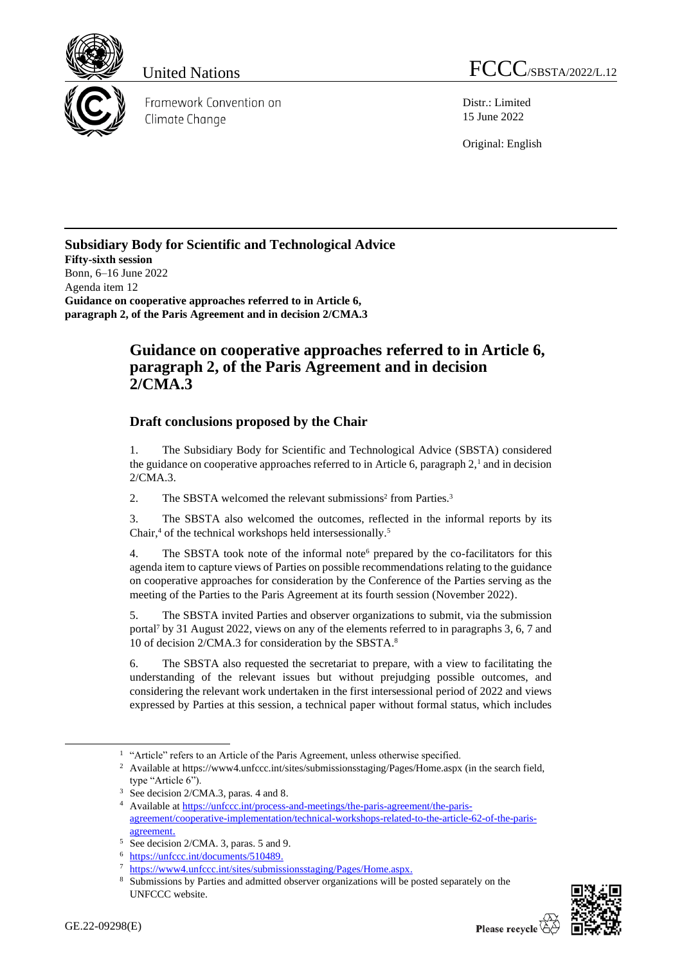

Framework Convention on Climate Change

United Nations FCCC/SBSTA/2022/L.12

Distr.: Limited 15 June 2022

Original: English

## **Subsidiary Body for Scientific and Technological Advice Fifty-sixth session** Bonn, 6–16 June 2022 Agenda item 12 **Guidance on cooperative approaches referred to in Article 6, paragraph 2, of the Paris Agreement and in decision 2/CMA.3**

## **Guidance on cooperative approaches referred to in Article 6, paragraph 2, of the Paris Agreement and in decision 2/CMA.3**

## **Draft conclusions proposed by the Chair**

1. The Subsidiary Body for Scientific and Technological Advice (SBSTA) considered the guidance on cooperative approaches referred to in Article 6, paragraph  $2<sup>1</sup>$  and in decision 2/CMA.3.

2. The SBSTA welcomed the relevant submissions<sup>2</sup> from Parties.<sup>3</sup>

3. The SBSTA also welcomed the outcomes, reflected in the informal reports by its Chair,<sup>4</sup> of the technical workshops held intersessionally.<sup>5</sup>

4. The SBSTA took note of the informal note<sup>6</sup> prepared by the co-facilitators for this agenda item to capture views of Parties on possible recommendations relating to the guidance on cooperative approaches for consideration by the Conference of the Parties serving as the meeting of the Parties to the Paris Agreement at its fourth session (November 2022).

5. The SBSTA invited Parties and observer organizations to submit, via the submission portal<sup>7</sup> by 31 August 2022, views on any of the elements referred to in paragraphs 3, 6, 7 and 10 of decision 2/CMA.3 for consideration by the SBSTA. 8

6. The SBSTA also requested the secretariat to prepare, with a view to facilitating the understanding of the relevant issues but without prejudging possible outcomes, and considering the relevant work undertaken in the first intersessional period of 2022 and views expressed by Parties at this session, a technical paper without formal status, which includes



<sup>&</sup>lt;sup>1</sup> "Article" refers to an Article of the Paris Agreement, unless otherwise specified.

<sup>&</sup>lt;sup>2</sup> Available at https://www4.unfccc.int/sites/submissionsstaging/Pages/Home.aspx (in the search field, type "Article 6").

<sup>3</sup> See decision 2/CMA.3, paras. 4 and 8.

<sup>4</sup> Available a[t https://unfccc.int/process-and-meetings/the-paris-agreement/the-paris](https://unfccc.int/process-and-meetings/the-paris-agreement/the-paris-agreement/cooperative-implementation/technical-workshops-related-to-the-article-62-of-the-paris-agreement)[agreement/cooperative-implementation/technical-workshops-related-to-the-article-62-of-the-paris](https://unfccc.int/process-and-meetings/the-paris-agreement/the-paris-agreement/cooperative-implementation/technical-workshops-related-to-the-article-62-of-the-paris-agreement)[agreement](https://unfccc.int/process-and-meetings/the-paris-agreement/the-paris-agreement/cooperative-implementation/technical-workshops-related-to-the-article-62-of-the-paris-agreement).

<sup>5</sup> See decision 2/CMA. 3, paras. 5 and 9.

<sup>6</sup> [https://unfccc.int/documents/510489.](https://unfccc.int/documents/510489)

[https://www4.unfccc.int/sites/submissionsstaging/Pages/Home.aspx.](https://www4.unfccc.int/sites/submissionsstaging/Pages/Home.aspx)

<sup>8</sup> Submissions by Parties and admitted observer organizations will be posted separately on the UNFCCC website.